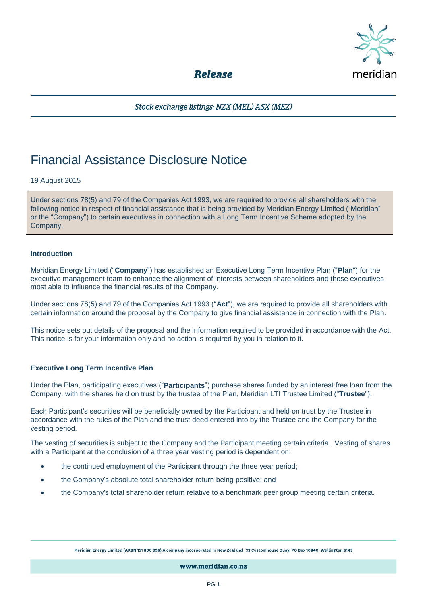

**Release** 

Stock exchange listings: NZX (MEL) ASX (MEZ)

# Financial Assistance Disclosure Notice

# 19 August 2015

Under sections 78(5) and 79 of the Companies Act 1993, we are required to provide all shareholders with the following notice in respect of financial assistance that is being provided by Meridian Energy Limited ("Meridian" or the "Company") to certain executives in connection with a Long Term Incentive Scheme adopted by the Company.

#### **Introduction**

Meridian Energy Limited ("**Company**") has established an Executive Long Term Incentive Plan ("**Plan**") for the executive management team to enhance the alignment of interests between shareholders and those executives most able to influence the financial results of the Company.

Under sections 78(5) and 79 of the Companies Act 1993 ("**Act**"), we are required to provide all shareholders with certain information around the proposal by the Company to give financial assistance in connection with the Plan.

This notice sets out details of the proposal and the information required to be provided in accordance with the Act. This notice is for your information only and no action is required by you in relation to it.

# **Executive Long Term Incentive Plan**

Under the Plan, participating executives ("**Participants**") purchase shares funded by an interest free loan from the Company, with the shares held on trust by the trustee of the Plan, Meridian LTI Trustee Limited ("**Trustee**").

Each Participant's securities will be beneficially owned by the Participant and held on trust by the Trustee in accordance with the rules of the Plan and the trust deed entered into by the Trustee and the Company for the vesting period.

The vesting of securities is subject to the Company and the Participant meeting certain criteria. Vesting of shares with a Participant at the conclusion of a three year vesting period is dependent on:

- the continued employment of the Participant through the three year period;
- the Company's absolute total shareholder return being positive; and
- the Company's total shareholder return relative to a benchmark peer group meeting certain criteria.

Meridian Energy Limited (ARBN 151 800 396) A company incorporated in New Zealand 33 Customhouse Quay, PO Box 10840, Wellington 6143

www.meridian.co.nz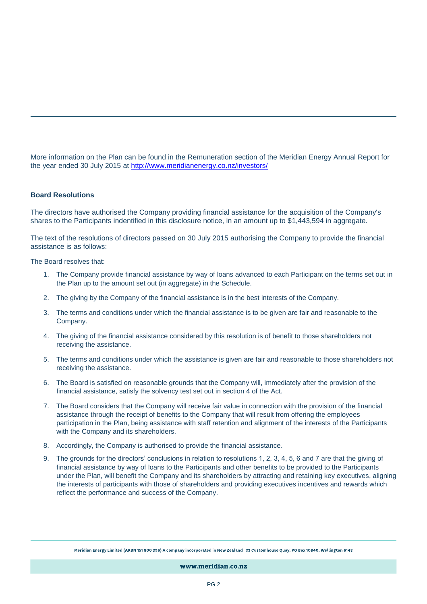More information on the Plan can be found in the Remuneration section of the Meridian Energy Annual Report for the year ended 30 July 2015 at<http://www.meridianenergy.co.nz/investors/>

#### **Board Resolutions**

The directors have authorised the Company providing financial assistance for the acquisition of the Company's shares to the Participants indentified in this disclosure notice, in an amount up to \$1,443,594 in aggregate.

The text of the resolutions of directors passed on 30 July 2015 authorising the Company to provide the financial assistance is as follows:

The Board resolves that:

- 1. The Company provide financial assistance by way of loans advanced to each Participant on the terms set out in the Plan up to the amount set out (in aggregate) in the Schedule.
- 2. The giving by the Company of the financial assistance is in the best interests of the Company.
- 3. The terms and conditions under which the financial assistance is to be given are fair and reasonable to the Company.
- 4. The giving of the financial assistance considered by this resolution is of benefit to those shareholders not receiving the assistance.
- 5. The terms and conditions under which the assistance is given are fair and reasonable to those shareholders not receiving the assistance.
- 6. The Board is satisfied on reasonable grounds that the Company will, immediately after the provision of the financial assistance, satisfy the solvency test set out in section 4 of the Act.
- 7. The Board considers that the Company will receive fair value in connection with the provision of the financial assistance through the receipt of benefits to the Company that will result from offering the employees participation in the Plan, being assistance with staff retention and alignment of the interests of the Participants with the Company and its shareholders.
- 8. Accordingly, the Company is authorised to provide the financial assistance.
- 9. The grounds for the directors' conclusions in relation to resolutions 1, 2, 3, 4, 5, 6 and 7 are that the giving of financial assistance by way of loans to the Participants and other benefits to be provided to the Participants under the Plan, will benefit the Company and its shareholders by attracting and retaining key executives, aligning the interests of participants with those of shareholders and providing executives incentives and rewards which reflect the performance and success of the Company.

Meridian Energy Limited (ARBN 151 800 396) A company incorporated in New Zealand 33 Customhouse Quay, PO Box 10840, Wellington 6143

www.meridian.co.nz